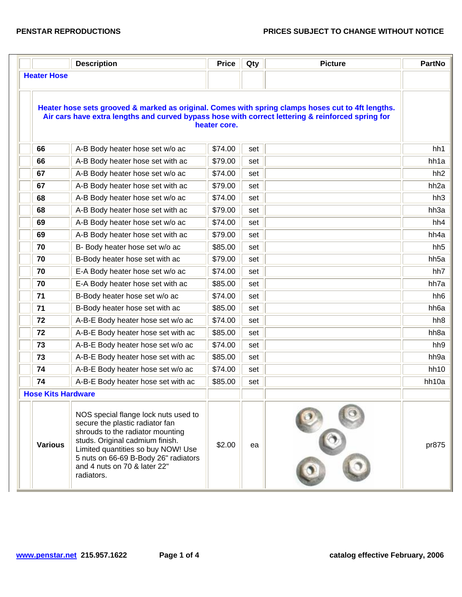|                           | <b>Description</b>                                                                                                                                                                                                                                                         | <b>Price</b> | Qty | <b>Picture</b> | <b>PartNo</b>    |
|---------------------------|----------------------------------------------------------------------------------------------------------------------------------------------------------------------------------------------------------------------------------------------------------------------------|--------------|-----|----------------|------------------|
| <b>Heater Hose</b>        |                                                                                                                                                                                                                                                                            |              |     |                |                  |
|                           | Heater hose sets grooved & marked as original. Comes with spring clamps hoses cut to 4ft lengths.<br>Air cars have extra lengths and curved bypass hose with correct lettering & reinforced spring for                                                                     | heater core. |     |                |                  |
| 66                        | A-B Body heater hose set w/o ac                                                                                                                                                                                                                                            | \$74.00      | set |                | hh1              |
| 66                        | A-B Body heater hose set with ac                                                                                                                                                                                                                                           | \$79.00      | set |                | hh1a             |
| 67                        | A-B Body heater hose set w/o ac                                                                                                                                                                                                                                            | \$74.00      | set |                | hh <sub>2</sub>  |
| 67                        | A-B Body heater hose set with ac                                                                                                                                                                                                                                           | \$79.00      | set |                | hh <sub>2a</sub> |
| 68                        | A-B Body heater hose set w/o ac                                                                                                                                                                                                                                            | \$74.00      | set |                | hh <sub>3</sub>  |
| 68                        | A-B Body heater hose set with ac                                                                                                                                                                                                                                           | \$79.00      | set |                | hh3a             |
| 69                        | A-B Body heater hose set w/o ac                                                                                                                                                                                                                                            | \$74.00      | set |                | hh4              |
| 69                        | A-B Body heater hose set with ac                                                                                                                                                                                                                                           | \$79.00      | set |                | hh4a             |
| 70                        | B- Body heater hose set w/o ac                                                                                                                                                                                                                                             | \$85.00      | set |                | hh <sub>5</sub>  |
| 70                        | B-Body heater hose set with ac                                                                                                                                                                                                                                             | \$79.00      | set |                | hh <sub>5a</sub> |
| 70                        | E-A Body heater hose set w/o ac                                                                                                                                                                                                                                            | \$74.00      | set |                | hh7              |
| 70                        | E-A Body heater hose set with ac                                                                                                                                                                                                                                           | \$85.00      | set |                | hh7a             |
| 71                        | B-Body heater hose set w/o ac                                                                                                                                                                                                                                              | \$74.00      | set |                | hh <sub>6</sub>  |
| 71                        | B-Body heater hose set with ac                                                                                                                                                                                                                                             | \$85.00      | set |                | hh6a             |
| 72                        | A-B-E Body heater hose set w/o ac                                                                                                                                                                                                                                          | \$74.00      | set |                | hh <sub>8</sub>  |
| 72                        | A-B-E Body heater hose set with ac                                                                                                                                                                                                                                         | \$85.00      | set |                | hh <sub>8a</sub> |
| 73                        | A-B-E Body heater hose set w/o ac                                                                                                                                                                                                                                          | \$74.00      | set |                | hh9              |
| 73                        | A-B-E Body heater hose set with ac                                                                                                                                                                                                                                         | \$85.00      | set |                | hh9a             |
| 74                        | A-B-E Body heater hose set w/o ac                                                                                                                                                                                                                                          | \$74.00      | set |                | hh10             |
| 74                        | A-B-E Body heater hose set with ac                                                                                                                                                                                                                                         | \$85.00      | set |                | hh10a            |
| <b>Hose Kits Hardware</b> |                                                                                                                                                                                                                                                                            |              |     |                |                  |
| <b>Various</b>            | NOS special flange lock nuts used to<br>secure the plastic radiator fan<br>shrouds to the radiator mounting<br>studs. Original cadmium finish.<br>Limited quantities so buy NOW! Use<br>5 nuts on 66-69 B-Body 26" radiators<br>and 4 nuts on 70 & later 22"<br>radiators. | \$2.00       | ea  |                | pr875            |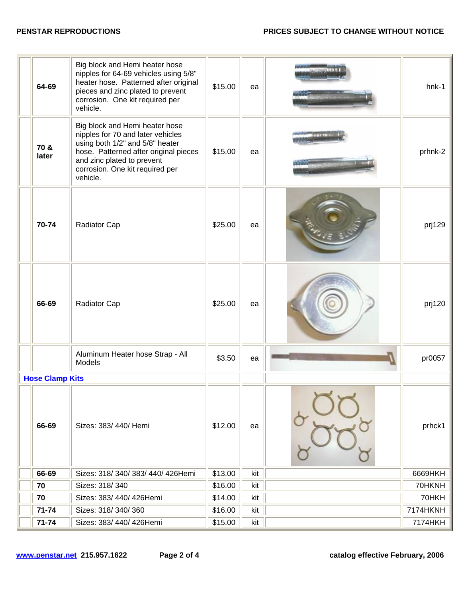| 64-69                  | Big block and Hemi heater hose<br>nipples for 64-69 vehicles using 5/8"<br>heater hose. Patterned after original<br>pieces and zinc plated to prevent<br>corrosion. One kit required per<br>vehicle.                         | \$15.00 | ea  | $hnk-1$  |
|------------------------|------------------------------------------------------------------------------------------------------------------------------------------------------------------------------------------------------------------------------|---------|-----|----------|
| 70 &<br>later          | Big block and Hemi heater hose<br>nipples for 70 and later vehicles<br>using both 1/2" and 5/8" heater<br>hose. Patterned after original pieces<br>and zinc plated to prevent<br>corrosion. One kit required per<br>vehicle. | \$15.00 | ea  | prhnk-2  |
| 70-74                  | Radiator Cap                                                                                                                                                                                                                 | \$25.00 | ea  | prj129   |
| 66-69                  | Radiator Cap                                                                                                                                                                                                                 | \$25.00 | ea  | prj120   |
|                        | Aluminum Heater hose Strap - All<br>Models                                                                                                                                                                                   | \$3.50  | ea  | pr0057   |
| <b>Hose Clamp Kits</b> |                                                                                                                                                                                                                              |         |     |          |
| 66-69                  | Sizes: 383/440/Hemi                                                                                                                                                                                                          | \$12.00 | ea  | prhck1   |
| 66-69                  | Sizes: 318/340/383/440/426Hemi                                                                                                                                                                                               | \$13.00 | kit | 6669HKH  |
| 70                     | Sizes: 318/340                                                                                                                                                                                                               | \$16.00 | kit | 70HKNH   |
| 70                     | Sizes: 383/ 440/ 426Hemi                                                                                                                                                                                                     | \$14.00 | kit | 70HKH    |
| $71 - 74$              | Sizes: 318/340/360                                                                                                                                                                                                           | \$16.00 | kit | 7174HKNH |
| 71-74                  | Sizes: 383/440/426Hemi                                                                                                                                                                                                       | \$15.00 | kit | 7174HKH  |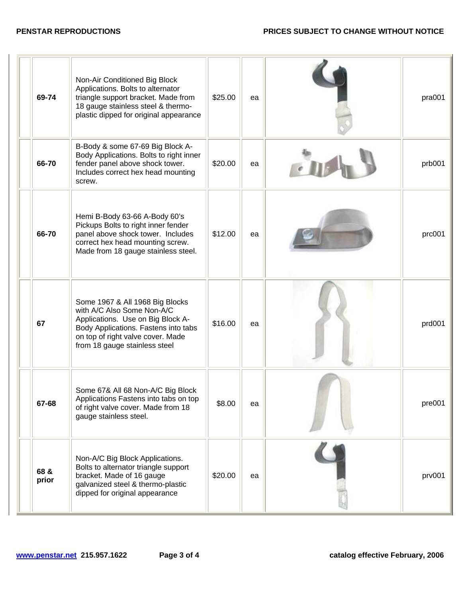| 69-74         | Non-Air Conditioned Big Block<br>Applications. Bolts to alternator<br>triangle support bracket. Made from<br>18 gauge stainless steel & thermo-<br>plastic dipped for original appearance                        | \$25.00 | ea | pra001 |
|---------------|------------------------------------------------------------------------------------------------------------------------------------------------------------------------------------------------------------------|---------|----|--------|
| 66-70         | B-Body & some 67-69 Big Block A-<br>Body Applications. Bolts to right inner<br>fender panel above shock tower.<br>Includes correct hex head mounting<br>screw.                                                   | \$20.00 | ea | prb001 |
| 66-70         | Hemi B-Body 63-66 A-Body 60's<br>Pickups Bolts to right inner fender<br>panel above shock tower. Includes<br>correct hex head mounting screw.<br>Made from 18 gauge stainless steel.                             | \$12.00 | ea | prc001 |
| 67            | Some 1967 & All 1968 Big Blocks<br>with A/C Also Some Non-A/C<br>Applications. Use on Big Block A-<br>Body Applications. Fastens into tabs<br>on top of right valve cover. Made<br>from 18 gauge stainless steel | \$16.00 | ea | prd001 |
| 67-68         | Some 67& All 68 Non-A/C Big Block<br>Applications Fastens into tabs on top<br>of right valve cover. Made from 18<br>gauge stainless steel.                                                                       | \$8.00  | ea | pre001 |
| 68 &<br>prior | Non-A/C Big Block Applications.<br>Bolts to alternator triangle support<br>bracket. Made of 16 gauge<br>galvanized steel & thermo-plastic<br>dipped for original appearance                                      | \$20.00 | ea | prv001 |